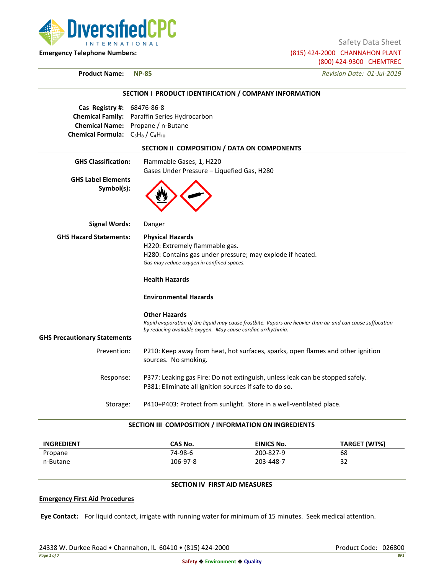

Safety Data Sheet

**Emergency Telephone Numbers:** (815) 424-2000 CHANNAHON PLANT (800) 424-9300 CHEMTREC

**Product Name: NP-85** *Revision Date: 01-Jul-2019*

|                                              | SECTION I PRODUCT IDENTIFICATION / COMPANY INFORMATION                                                                                                                                            |  |  |
|----------------------------------------------|---------------------------------------------------------------------------------------------------------------------------------------------------------------------------------------------------|--|--|
| <b>Cas Registry #: 68476-86-8</b>            |                                                                                                                                                                                                   |  |  |
| Chemical Family: Paraffin Series Hydrocarbon |                                                                                                                                                                                                   |  |  |
|                                              | Chemical Name: Propane / n-Butane                                                                                                                                                                 |  |  |
| Chemical Formula: $C_3H_8/C_4H_{10}$         |                                                                                                                                                                                                   |  |  |
|                                              | SECTION II COMPOSITION / DATA ON COMPONENTS                                                                                                                                                       |  |  |
| <b>GHS Classification:</b>                   | Flammable Gases, 1, H220                                                                                                                                                                          |  |  |
|                                              | Gases Under Pressure - Liquefied Gas, H280                                                                                                                                                        |  |  |
| <b>GHS Label Elements</b><br>Symbol(s):      |                                                                                                                                                                                                   |  |  |
| <b>Signal Words:</b>                         | Danger                                                                                                                                                                                            |  |  |
| <b>GHS Hazard Statements:</b>                | <b>Physical Hazards</b>                                                                                                                                                                           |  |  |
|                                              | H220: Extremely flammable gas.                                                                                                                                                                    |  |  |
|                                              | H280: Contains gas under pressure; may explode if heated.                                                                                                                                         |  |  |
|                                              | Gas may reduce oxygen in confined spaces.                                                                                                                                                         |  |  |
|                                              | <b>Health Hazards</b>                                                                                                                                                                             |  |  |
|                                              | <b>Environmental Hazards</b>                                                                                                                                                                      |  |  |
|                                              | <b>Other Hazards</b><br>Rapid evaporation of the liquid may cause frostbite. Vapors are heavier than air and can cause suffocation<br>by reducing available oxygen. May cause cardiac arrhythmia. |  |  |
| <b>GHS Precautionary Statements</b>          |                                                                                                                                                                                                   |  |  |
| Prevention:                                  | P210: Keep away from heat, hot surfaces, sparks, open flames and other ignition                                                                                                                   |  |  |
|                                              | sources. No smoking.                                                                                                                                                                              |  |  |
| Response:                                    | P377: Leaking gas Fire: Do not extinguish, unless leak can be stopped safely.                                                                                                                     |  |  |
|                                              | P381: Eliminate all ignition sources if safe to do so.                                                                                                                                            |  |  |
| Storage:                                     | P410+P403: Protect from sunlight. Store in a well-ventilated place.                                                                                                                               |  |  |
|                                              | SECTION III COMPOSITION / INFORMATION ON INGREDIENTS                                                                                                                                              |  |  |

| <b>INGREDIENT</b> | CAS No.  | <b>EINICS No.</b> | TARGET (WT%) |
|-------------------|----------|-------------------|--------------|
| Propane           | 74-98-6  | 200-827-9         | 68           |
| n-Butane          | 106-97-8 | 203-448-7         | 32           |

# **SECTION IV FIRST AID MEASURES**

### **Emergency First Aid Procedures**

**Eye Contact:** For liquid contact, irrigate with running water for minimum of 15 minutes. Seek medical attention.

24338 W. Durkee Road • Channahon, IL 60410 • (815) 424-2000 Product Code: 026800 Product Code: 026800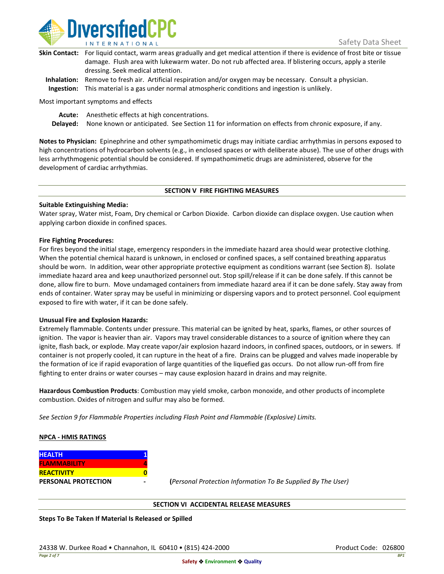

| Skin Contact: For liquid contact, warm areas gradually and get medical attention if there is evidence of frost bite or tissue |
|-------------------------------------------------------------------------------------------------------------------------------|
| damage. Flush area with lukewarm water. Do not rub affected area. If blistering occurs, apply a sterile                       |
| dressing. Seek medical attention.                                                                                             |
|                                                                                                                               |

**Inhalation:** Remove to fresh air. Artificial respiration and/or oxygen may be necessary. Consult a physician. **Ingestion:** This material is a gas under normal atmospheric conditions and ingestion is unlikely.

Most important symptoms and effects

**Acute:** Anesthetic effects at high concentrations.

**Delayed:** None known or anticipated. See Section 11 for information on effects from chronic exposure, if any.

**Notes to Physician:** Epinephrine and other sympathomimetic drugs may initiate cardiac arrhythmias in persons exposed to high concentrations of hydrocarbon solvents (e.g., in enclosed spaces or with deliberate abuse). The use of other drugs with less arrhythmogenic potential should be considered. If sympathomimetic drugs are administered, observe for the development of cardiac arrhythmias.

#### **SECTION V FIRE FIGHTING MEASURES**

### **Suitable Extinguishing Media:**

Water spray, Water mist, Foam, Dry chemical or Carbon Dioxide. Carbon dioxide can displace oxygen. Use caution when applying carbon dioxide in confined spaces.

#### **Fire Fighting Procedures:**

For fires beyond the initial stage, emergency responders in the immediate hazard area should wear protective clothing. When the potential chemical hazard is unknown, in enclosed or confined spaces, a self contained breathing apparatus should be worn. In addition, wear other appropriate protective equipment as conditions warrant (see Section 8). Isolate immediate hazard area and keep unauthorized personnel out. Stop spill/release if it can be done safely. If this cannot be done, allow fire to burn. Move undamaged containers from immediate hazard area if it can be done safely. Stay away from ends of container. Water spray may be useful in minimizing or dispersing vapors and to protect personnel. Cool equipment exposed to fire with water, if it can be done safely.

### **Unusual Fire and Explosion Hazards:**

Extremely flammable. Contents under pressure. This material can be ignited by heat, sparks, flames, or other sources of ignition. The vapor is heavier than air. Vapors may travel considerable distances to a source of ignition where they can ignite, flash back, or explode. May create vapor/air explosion hazard indoors, in confined spaces, outdoors, or in sewers. If container is not properly cooled, it can rupture in the heat of a fire. Drains can be plugged and valves made inoperable by the formation of ice if rapid evaporation of large quantities of the liquefied gas occurs. Do not allow run-off from fire fighting to enter drains or water courses – may cause explosion hazard in drains and may reignite.

**Hazardous Combustion Products**: Combustion may yield smoke, carbon monoxide, and other products of incomplete combustion. Oxides of nitrogen and sulfur may also be formed.

*See Section 9 for Flammable Properties including Flash Point and Flammable (Explosive) Limits.*

### **NPCA - HMIS RATINGS**

| <b>HEALTH</b>              |  |
|----------------------------|--|
| <b>FLAMMABILITY</b>        |  |
| <b>REACTIVITY</b>          |  |
| <b>PERSONAL PROTECTION</b> |  |

**PERSONAL PROTECTION - (***Personal Protection Information To Be Supplied By The User)*

### **SECTION VI ACCIDENTAL RELEASE MEASURES**

**Steps To Be Taken If Material Is Released or Spilled**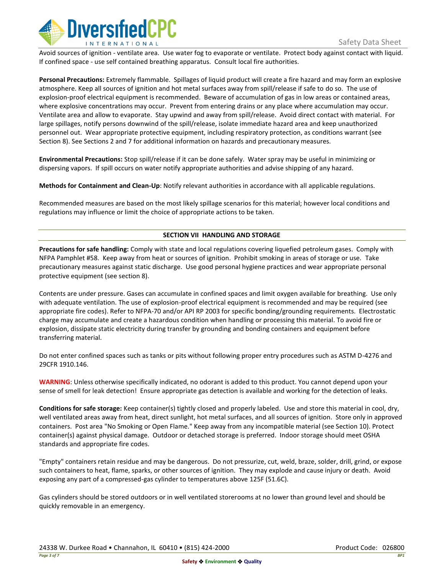

Avoid sources of ignition - ventilate area. Use water fog to evaporate or ventilate. Protect body against contact with liquid. If confined space - use self contained breathing apparatus. Consult local fire authorities.

**Personal Precautions:** Extremely flammable. Spillages of liquid product will create a fire hazard and may form an explosive atmosphere. Keep all sources of ignition and hot metal surfaces away from spill/release if safe to do so. The use of explosion-proof electrical equipment is recommended. Beware of accumulation of gas in low areas or contained areas, where explosive concentrations may occur. Prevent from entering drains or any place where accumulation may occur. Ventilate area and allow to evaporate. Stay upwind and away from spill/release. Avoid direct contact with material. For large spillages, notify persons downwind of the spill/release, isolate immediate hazard area and keep unauthorized personnel out. Wear appropriate protective equipment, including respiratory protection, as conditions warrant (see Section 8). See Sections 2 and 7 for additional information on hazards and precautionary measures.

**Environmental Precautions:** Stop spill/release if it can be done safely. Water spray may be useful in minimizing or dispersing vapors. If spill occurs on water notify appropriate authorities and advise shipping of any hazard.

**Methods for Containment and Clean-Up**: Notify relevant authorities in accordance with all applicable regulations.

Recommended measures are based on the most likely spillage scenarios for this material; however local conditions and regulations may influence or limit the choice of appropriate actions to be taken.

# **SECTION VII HANDLING AND STORAGE**

**Precautions for safe handling:** Comply with state and local regulations covering liquefied petroleum gases. Comply with NFPA Pamphlet #58. Keep away from heat or sources of ignition. Prohibit smoking in areas of storage or use. Take precautionary measures against static discharge. Use good personal hygiene practices and wear appropriate personal protective equipment (see section 8).

Contents are under pressure. Gases can accumulate in confined spaces and limit oxygen available for breathing. Use only with adequate ventilation. The use of explosion-proof electrical equipment is recommended and may be required (see appropriate fire codes). Refer to NFPA-70 and/or API RP 2003 for specific bonding/grounding requirements. Electrostatic charge may accumulate and create a hazardous condition when handling or processing this material. To avoid fire or explosion, dissipate static electricity during transfer by grounding and bonding containers and equipment before transferring material.

Do not enter confined spaces such as tanks or pits without following proper entry procedures such as ASTM D-4276 and 29CFR 1910.146.

**WARNING**: Unless otherwise specifically indicated, no odorant is added to this product. You cannot depend upon your sense of smell for leak detection! Ensure appropriate gas detection is available and working for the detection of leaks.

**Conditions for safe storage:** Keep container(s) tightly closed and properly labeled. Use and store this material in cool, dry, well ventilated areas away from heat, direct sunlight, hot metal surfaces, and all sources of ignition. Store only in approved containers. Post area "No Smoking or Open Flame." Keep away from any incompatible material (see Section 10). Protect container(s) against physical damage. Outdoor or detached storage is preferred. Indoor storage should meet OSHA standards and appropriate fire codes.

"Empty" containers retain residue and may be dangerous. Do not pressurize, cut, weld, braze, solder, drill, grind, or expose such containers to heat, flame, sparks, or other sources of ignition. They may explode and cause injury or death. Avoid exposing any part of a compressed-gas cylinder to temperatures above 125F (51.6C).

Gas cylinders should be stored outdoors or in well ventilated storerooms at no lower than ground level and should be quickly removable in an emergency.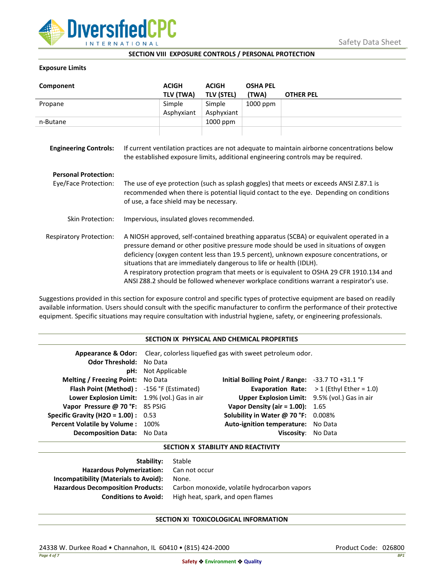

### **SECTION VIII EXPOSURE CONTROLS / PERSONAL PROTECTION**

## **Exposure Limits**

| Component                      |                                                                                                                                                                                                                                                                                                                                                                                                                                                                                                                                            | <b>ACIGH</b> | <b>ACIGH</b>      | <b>OSHA PEL</b> |                  |
|--------------------------------|--------------------------------------------------------------------------------------------------------------------------------------------------------------------------------------------------------------------------------------------------------------------------------------------------------------------------------------------------------------------------------------------------------------------------------------------------------------------------------------------------------------------------------------------|--------------|-------------------|-----------------|------------------|
|                                |                                                                                                                                                                                                                                                                                                                                                                                                                                                                                                                                            | TLV (TWA)    | <b>TLV (STEL)</b> | (TWA)           | <b>OTHER PEL</b> |
| Propane                        |                                                                                                                                                                                                                                                                                                                                                                                                                                                                                                                                            | Simple       | Simple            | 1000 ppm        |                  |
|                                |                                                                                                                                                                                                                                                                                                                                                                                                                                                                                                                                            | Asphyxiant   | Asphyxiant        |                 |                  |
| n-Butane                       |                                                                                                                                                                                                                                                                                                                                                                                                                                                                                                                                            |              | 1000 ppm          |                 |                  |
| <b>Engineering Controls:</b>   | If current ventilation practices are not adequate to maintain airborne concentrations below<br>the established exposure limits, additional engineering controls may be required.                                                                                                                                                                                                                                                                                                                                                           |              |                   |                 |                  |
| <b>Personal Protection:</b>    |                                                                                                                                                                                                                                                                                                                                                                                                                                                                                                                                            |              |                   |                 |                  |
| Eye/Face Protection:           | The use of eye protection (such as splash goggles) that meets or exceeds ANSI Z.87.1 is<br>recommended when there is potential liquid contact to the eye. Depending on conditions<br>of use, a face shield may be necessary.                                                                                                                                                                                                                                                                                                               |              |                   |                 |                  |
| Skin Protection:               | Impervious, insulated gloves recommended.                                                                                                                                                                                                                                                                                                                                                                                                                                                                                                  |              |                   |                 |                  |
| <b>Respiratory Protection:</b> | A NIOSH approved, self-contained breathing apparatus (SCBA) or equivalent operated in a<br>pressure demand or other positive pressure mode should be used in situations of oxygen<br>deficiency (oxygen content less than 19.5 percent), unknown exposure concentrations, or<br>situations that are immediately dangerous to life or health (IDLH).<br>A respiratory protection program that meets or is equivalent to OSHA 29 CFR 1910.134 and<br>ANSI Z88.2 should be followed whenever workplace conditions warrant a respirator's use. |              |                   |                 |                  |

Suggestions provided in this section for exposure control and specific types of protective equipment are based on readily available information. Users should consult with the specific manufacturer to confirm the performance of their protective equipment. Specific situations may require consultation with industrial hygiene, safety, or engineering professionals.

## **SECTION IX PHYSICAL AND CHEMICAL PROPERTIES**

| <b>Odor Threshold: No Data</b>                | <b>pH:</b> Not Applicable | Appearance & Odor: Clear, colorless liquefied gas with sweet petroleum odor. |                                                   |
|-----------------------------------------------|---------------------------|------------------------------------------------------------------------------|---------------------------------------------------|
| <b>Melting / Freezing Point:</b> No Data      |                           | Initial Boiling Point / Range: $-33.7$ TO $+31.1$ °F                         |                                                   |
| Flash Point (Method): -156 °F (Estimated)     |                           |                                                                              | <b>Evaporation Rate:</b> $>1$ (Ethyl Ether = 1.0) |
| Lower Explosion Limit: 1.9% (vol.) Gas in air |                           | Upper Explosion Limit: 9.5% (vol.) Gas in air                                |                                                   |
| Vapor Pressure @ 70 °F: 85 PSIG               |                           | Vapor Density (air = $1.00$ ): $1.65$                                        |                                                   |
| <b>Specific Gravity (H2O = 1.00):</b> $0.53$  |                           | Solubility in Water @ 70 °F: 0.008%                                          |                                                   |
| Percent Volatile by Volume: 100%              |                           | Auto-ignition temperature: No Data                                           |                                                   |
| <b>Decomposition Data:</b> No Data            |                           | Viscositv:                                                                   | No Data                                           |

### **SECTION X STABILITY AND REACTIVITY**

| Stable                                       |
|----------------------------------------------|
| Hazardous Polymerization: Can not occur      |
| None.                                        |
| Carbon monoxide, volatile hydrocarbon vapors |
| High heat, spark, and open flames            |
|                                              |

# **SECTION XI TOXICOLOGICAL INFORMATION**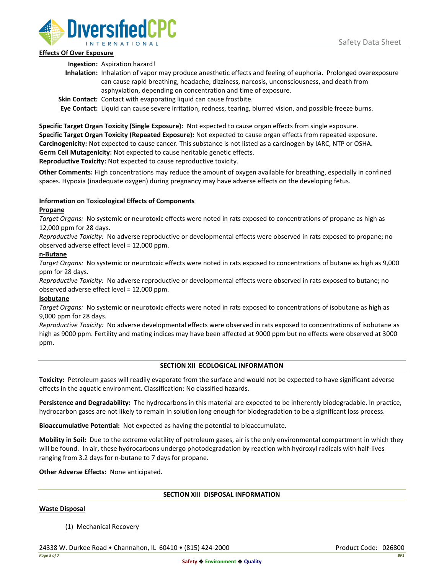

# **Effects Of Over Exposure**

**Ingestion:** Aspiration hazard!

- **Inhalation:** Inhalation of vapor may produce anesthetic effects and feeling of euphoria. Prolonged overexposure can cause rapid breathing, headache, dizziness, narcosis, unconsciousness, and death from asphyxiation, depending on concentration and time of exposure.
- **Skin Contact:** Contact with evaporating liquid can cause frostbite.

**Eye Contact:** Liquid can cause severe irritation, redness, tearing, blurred vision, and possible freeze burns.

**Specific Target Organ Toxicity (Single Exposure):** Not expected to cause organ effects from single exposure. **Specific Target Organ Toxicity (Repeated Exposure):** Not expected to cause organ effects from repeated exposure. **Carcinogenicity:** Not expected to cause cancer. This substance is not listed as a carcinogen by IARC, NTP or OSHA. **Germ Cell Mutagenicity:** Not expected to cause heritable genetic effects.

**Reproductive Toxicity:** Not expected to cause reproductive toxicity.

**Other Comments:** High concentrations may reduce the amount of oxygen available for breathing, especially in confined spaces. Hypoxia (inadequate oxygen) during pregnancy may have adverse effects on the developing fetus.

# **Information on Toxicological Effects of Components**

# **Propane**

*Target Organs:* No systemic or neurotoxic effects were noted in rats exposed to concentrations of propane as high as 12,000 ppm for 28 days.

*Reproductive Toxicity:* No adverse reproductive or developmental effects were observed in rats exposed to propane; no observed adverse effect level = 12,000 ppm.

# **n-Butane**

*Target Organs:* No systemic or neurotoxic effects were noted in rats exposed to concentrations of butane as high as 9,000 ppm for 28 days.

*Reproductive Toxicity:* No adverse reproductive or developmental effects were observed in rats exposed to butane; no observed adverse effect level = 12,000 ppm.

# **Isobutane**

*Target Organs:* No systemic or neurotoxic effects were noted in rats exposed to concentrations of isobutane as high as 9,000 ppm for 28 days.

*Reproductive Toxicity:* No adverse developmental effects were observed in rats exposed to concentrations of isobutane as high as 9000 ppm. Fertility and mating indices may have been affected at 9000 ppm but no effects were observed at 3000 ppm.

# **SECTION XII ECOLOGICAL INFORMATION**

**Toxicity:** Petroleum gases will readily evaporate from the surface and would not be expected to have significant adverse effects in the aquatic environment. Classification: No classified hazards.

**Persistence and Degradability:** The hydrocarbons in this material are expected to be inherently biodegradable. In practice, hydrocarbon gases are not likely to remain in solution long enough for biodegradation to be a significant loss process.

**Bioaccumulative Potential:** Not expected as having the potential to bioaccumulate.

**Mobility in Soil:** Due to the extreme volatility of petroleum gases, air is the only environmental compartment in which they will be found. In air, these hydrocarbons undergo photodegradation by reaction with hydroxyl radicals with half-lives ranging from 3.2 days for n-butane to 7 days for propane.

**Other Adverse Effects:** None anticipated.

### **SECTION XIII DISPOSAL INFORMATION**

### **Waste Disposal**

(1) Mechanical Recovery

24338 W. Durkee Road • Channahon, IL 60410 • (815) 424-2000 Product Code: 026800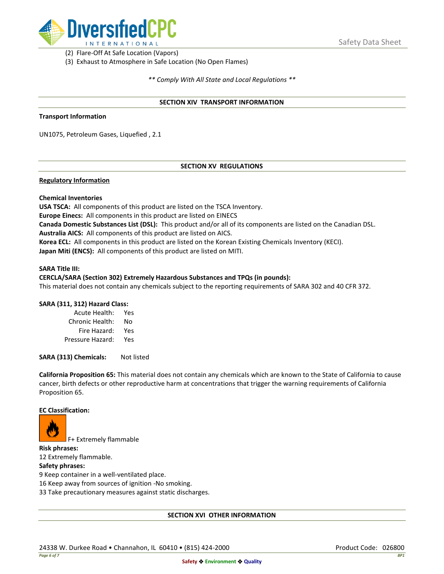

(2) Flare-Off At Safe Location (Vapors)

(3) Exhaust to Atmosphere in Safe Location (No Open Flames)

*\*\* Comply With All State and Local Regulations \*\**

### **SECTION XIV TRANSPORT INFORMATION**

### **Transport Information**

UN1075, Petroleum Gases, Liquefied , 2.1

# **SECTION XV REGULATIONS**

## **Regulatory Information**

### **Chemical Inventories**

**USA TSCA:** All components of this product are listed on the TSCA Inventory. **Europe Einecs:** All components in this product are listed on EINECS **Canada Domestic Substances List (DSL):** This product and/or all of its components are listed on the Canadian DSL. **Australia AICS:** All components of this product are listed on AICS. **Korea ECL:** All components in this product are listed on the Korean Existing Chemicals Inventory (KECI). **Japan Miti (ENCS):** All components of this product are listed on MITI.

#### **SARA Title III:**

### **CERCLA/SARA (Section 302) Extremely Hazardous Substances and TPQs (in pounds):**

This material does not contain any chemicals subject to the reporting requirements of SARA 302 and 40 CFR 372.

### **SARA (311, 312) Hazard Class:**

| Acute Health:    | Yes |
|------------------|-----|
| Chronic Health:  | No  |
| Fire Hazard:     | Yes |
| Pressure Hazard: | Yes |

**SARA (313) Chemicals:** Not listed

**California Proposition 65:** This material does not contain any chemicals which are known to the State of California to cause cancer, birth defects or other reproductive harm at concentrations that trigger the warning requirements of California Proposition 65.

### **EC Classification:**



F+ Extremely flammable

**Risk phrases:** 12 Extremely flammable.

## **Safety phrases:**

9 Keep container in a well-ventilated place.

16 Keep away from sources of ignition -No smoking.

33 Take precautionary measures against static discharges.

### **SECTION XVI OTHER INFORMATION**